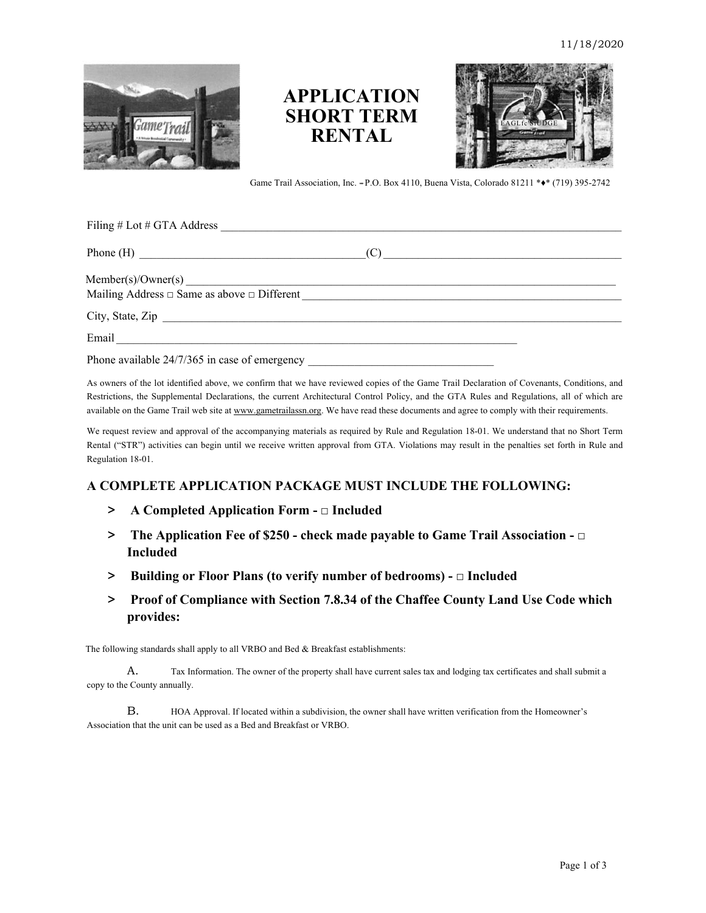

# **APPLICATION SHORT TERM RENTAL**



Game Trail Association, Inc. *\*\*\** P.O. Box 4110, Buena Vista, Colorado 81211 \*♦\* (719) 395-2742

| Filing # Lot # GTA Address                    |  |
|-----------------------------------------------|--|
| Phone (H) $\qquad \qquad \qquad \text{(C)}$   |  |
| Member(s)/Owner(s)                            |  |
| City, State, Zip                              |  |
| Email                                         |  |
| Phone available 24/7/365 in case of emergency |  |

As owners of the lot identified above, we confirm that we have reviewed copies of the Game Trail Declaration of Covenants, Conditions, and Restrictions, the Supplemental Declarations, the current Architectural Control Policy, and the GTA Rules and Regulations, all of which are available on the Game Trail web site at www.gametrailassn.org. We have read these documents and agree to comply with their requirements.

We request review and approval of the accompanying materials as required by Rule and Regulation 18-01. We understand that no Short Term Rental ("STR") activities can begin until we receive written approval from GTA. Violations may result in the penalties set forth in Rule and Regulation 18-01.

### **A COMPLETE APPLICATION PACKAGE MUST INCLUDE THE FOLLOWING:**

- **> A Completed Application Form □ Included**
- **> The Application Fee of \$250 check made payable to Game Trail Association □ Included**
- **> Building or Floor Plans (to verify number of bedrooms) □ Included**
- **> Proof of Compliance with Section 7.8.34 of the Chaffee County Land Use Code which provides:**

The following standards shall apply to all VRBO and Bed & Breakfast establishments:

A. Tax Information. The owner of the property shall have current sales tax and lodging tax certificates and shall submit a copy to the County annually.

B. HOA Approval. If located within a subdivision, the owner shall have written verification from the Homeowner's Association that the unit can be used as a Bed and Breakfast or VRBO.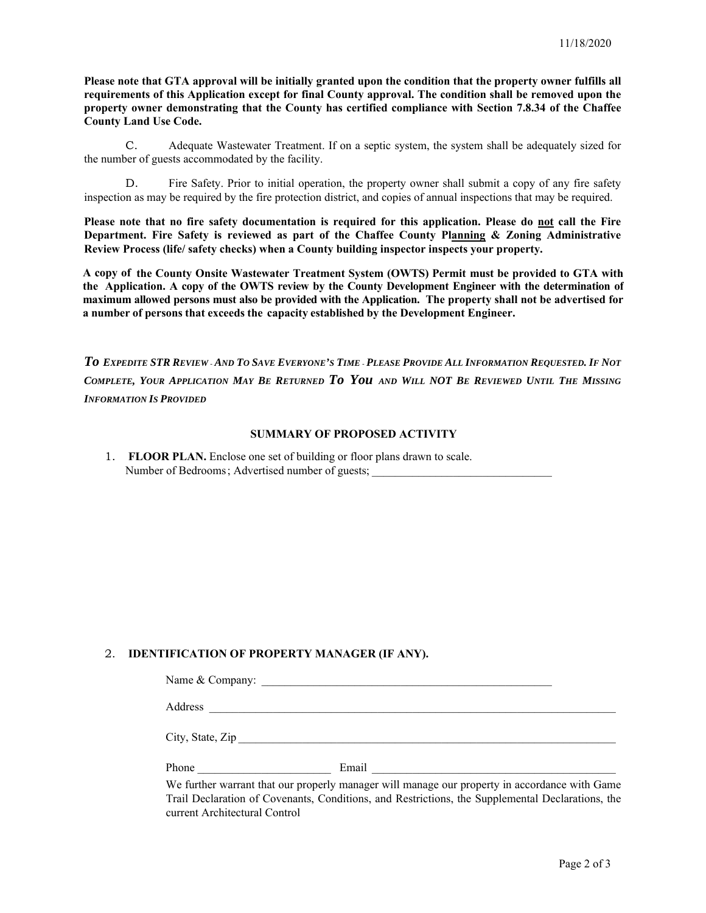**Please note that GTA approval will be initially granted upon the condition that the property owner fulfills all requirements of this Application except for final County approval. The condition shall be removed upon the property owner demonstrating that the County has certified compliance with Section 7.8.34 of the Chaffee County Land Use Code.** 

C. Adequate Wastewater Treatment. If on a septic system, the system shall be adequately sized for the number of guests accommodated by the facility.

D. Fire Safety. Prior to initial operation, the property owner shall submit a copy of any fire safety inspection as may be required by the fire protection district, and copies of annual inspections that may be required.

**Please note that no fire safety documentation is required for this application. Please do not call the Fire Department. Fire Safety is reviewed as part of the Chaffee County Planning & Zoning Administrative Review Process (life/ safety checks) when a County building inspector inspects your property.** 

**A copy of the County Onsite Wastewater Treatment System (OWTS) Permit must be provided to GTA with the Application. A copy of the OWTS review by the County Development Engineer with the determination of maximum allowed persons must also be provided with the Application. The property shall not be advertised for a number of persons that exceeds the capacity established by the Development Engineer.** 

*To EXPEDITE STR REVIEW* - *AND TO SAVE EVERYONE'S TIME* - *PLEASE PROVIDE ALL INFORMATION REQUESTED. IF NOT COMPLETE, YOUR APPLICATION MAY BE RETURNED To You AND WILL NOT BE REVIEWED UNTIL THE MISSING INFORMATION IS PROVIDED*

#### **SUMMARY OF PROPOSED ACTIVITY**

| 1. FLOOR PLAN. Enclose one set of building or floor plans drawn to scale. |
|---------------------------------------------------------------------------|
| Number of Bedrooms; Advertised number of guests;                          |

#### 2. **IDENTIFICATION OF PROPERTY MANAGER (IF ANY).**

| Name & Company:  | <u> 1980 - Jan James James James James James James James James James James James James James James James James J</u> |  |
|------------------|----------------------------------------------------------------------------------------------------------------------|--|
| Address          |                                                                                                                      |  |
| City, State, Zip |                                                                                                                      |  |
| Phone            | Email                                                                                                                |  |

We further warrant that our properly manager will manage our property in accordance with Game Trail Declaration of Covenants, Conditions, and Restrictions, the Supplemental Declarations, the current Architectural Control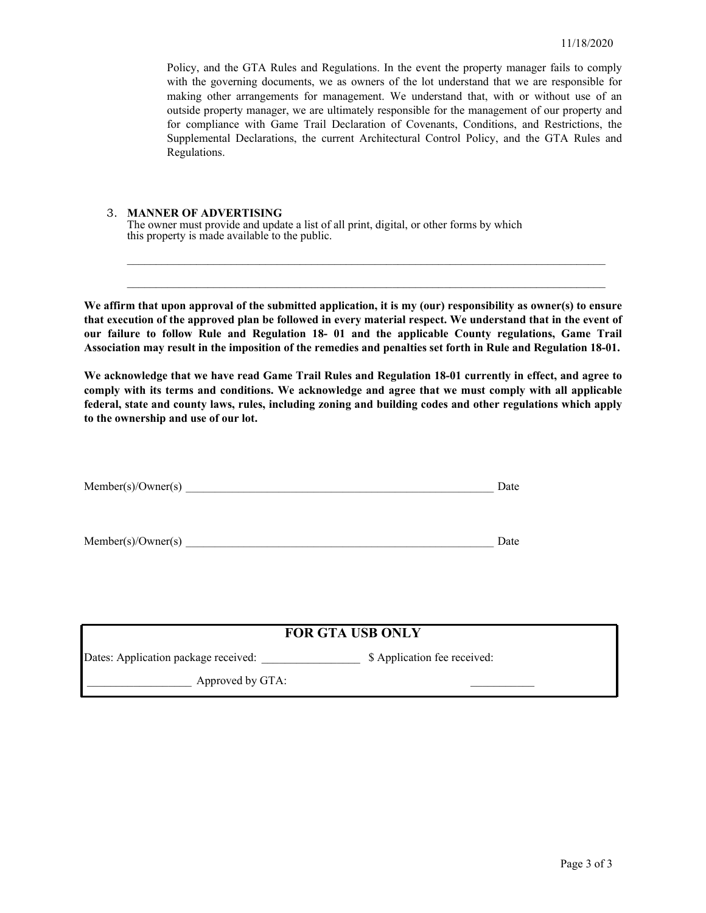Policy, and the GTA Rules and Regulations. In the event the property manager fails to comply with the governing documents, we as owners of the lot understand that we are responsible for making other arrangements for management. We understand that, with or without use of an outside property manager, we are ultimately responsible for the management of our property and for compliance with Game Trail Declaration of Covenants, Conditions, and Restrictions, the Supplemental Declarations, the current Architectural Control Policy, and the GTA Rules and Regulations.

#### 3. **MANNER OF ADVERTISING**

The owner must provide and update a list of all print, digital, or other forms by which this property is made available to the public.

**We affirm that upon approval of the submitted application, it is my (our) responsibility as owner(s) to ensure that execution of the approved plan be followed in every material respect. We understand that in the event of our failure to follow Rule and Regulation 18- 01 and the applicable County regulations, Game Trail Association may result in the imposition of the remedies and penalties set forth in Rule and Regulation 18-01.**

 $\mathcal{L}_\text{max}$  and  $\mathcal{L}_\text{max}$  and  $\mathcal{L}_\text{max}$  and  $\mathcal{L}_\text{max}$  and  $\mathcal{L}_\text{max}$  and  $\mathcal{L}_\text{max}$ 

**We acknowledge that we have read Game Trail Rules and Regulation 18-01 currently in effect, and agree to comply with its terms and conditions. We acknowledge and agree that we must comply with all applicable federal, state and county laws, rules, including zoning and building codes and other regulations which apply to the ownership and use of our lot.** 

| Member(s)/Owner(s) | і кін |
|--------------------|-------|
|--------------------|-------|

| Member(s)/Owner(s) |  |
|--------------------|--|
|                    |  |

| <b>FOR GTA USB ONLY</b>              |                              |  |
|--------------------------------------|------------------------------|--|
| Dates: Application package received: | \$ Application fee received: |  |
| Approved by GTA:                     |                              |  |